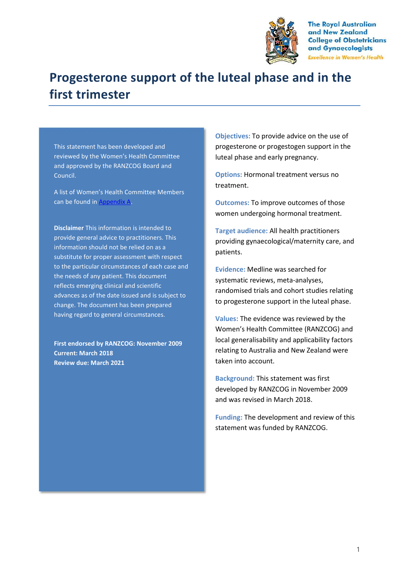

**The Royal Australian** and New Zealand **College of Obstetricians** and Gynaecologists **Excellence in Women's Health** 

# **Progesterone support of the luteal phase and in the first trimester**

This statement has been developed and reviewed by the Women's Health Committee and approved by the RANZCOG Board and Council.

A list of Women's Health Committee Members can be found in Appendix A.

**Disclaimer** This information is intended to provide general advice to practitioners. This information should not be relied on as a substitute for proper assessment with respect to the particular circumstances of each case and the needs of any patient. This document reflects emerging clinical and scientific advances as of the date issued and is subject to change. The document has been prepared having regard to general circumstances.

**First endorsed by RANZCOG: November 2009 Current: March 2018 Review due: March 2021**

**Objectives:** To provide advice on the use of progesterone or progestogen support in the luteal phase and early pregnancy.

**Options:** Hormonal treatment versus no treatment.

**Outcomes:** To improve outcomes of those women undergoing hormonal treatment.

**Target audience:** All health practitioners providing gynaecological/maternity care, and patients.

**Evidence:** Medline was searched for systematic reviews, meta-analyses, randomised trials and cohort studies relating to progesterone support in the luteal phase.

**Values:** The evidence was reviewed by the Women's Health Committee (RANZCOG) and local generalisability and applicability factors relating to Australia and New Zealand were taken into account.

**Background:** This statement was first developed by RANZCOG in November 2009 and was revised in March 2018.

**Funding:** The development and review of this statement was funded by RANZCOG.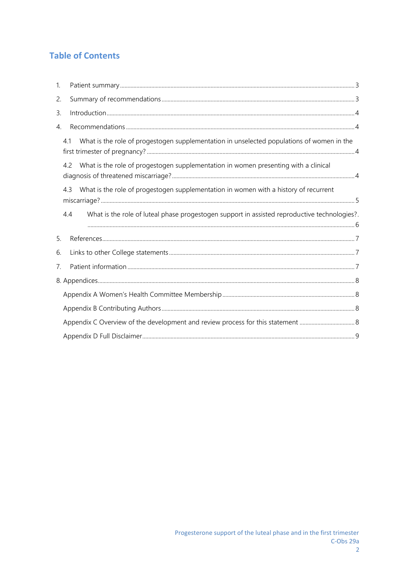## **Table of Contents**

| 1.             |                                                                                                     |  |
|----------------|-----------------------------------------------------------------------------------------------------|--|
| 2.             |                                                                                                     |  |
| 3.             |                                                                                                     |  |
| 4.             |                                                                                                     |  |
|                | What is the role of progestogen supplementation in unselected populations of women in the<br>41     |  |
|                | What is the role of progestogen supplementation in women presenting with a clinical<br>4.2          |  |
|                | What is the role of progestogen supplementation in women with a history of recurrent<br>43          |  |
|                | What is the role of luteal phase progestogen support in assisted reproductive technologies?.<br>4.4 |  |
| 5.             |                                                                                                     |  |
| 6.             |                                                                                                     |  |
| 7 <sub>1</sub> |                                                                                                     |  |
|                |                                                                                                     |  |
|                |                                                                                                     |  |
|                |                                                                                                     |  |
|                |                                                                                                     |  |
|                |                                                                                                     |  |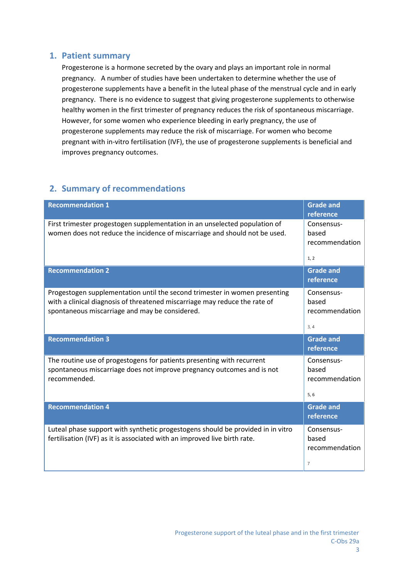#### **1. Patient summary**

Progesterone is a hormone secreted by the ovary and plays an important role in normal pregnancy. A number of studies have been undertaken to determine whether the use of progesterone supplements have a benefit in the luteal phase of the menstrual cycle and in early pregnancy. There is no evidence to suggest that giving progesterone supplements to otherwise healthy women in the first trimester of pregnancy reduces the risk of spontaneous miscarriage. However, for some women who experience bleeding in early pregnancy, the use of progesterone supplements may reduce the risk of miscarriage. For women who become pregnant with in-vitro fertilisation (IVF), the use of progesterone supplements is beneficial and improves pregnancy outcomes.

## **2. Summary of recommendations**

| <b>Recommendation 1</b>                                                                                                                                                                                    | <b>Grade and</b><br>reference                 |
|------------------------------------------------------------------------------------------------------------------------------------------------------------------------------------------------------------|-----------------------------------------------|
| First trimester progestogen supplementation in an unselected population of<br>women does not reduce the incidence of miscarriage and should not be used.                                                   | Consensus-<br>based<br>recommendation<br>1, 2 |
| <b>Recommendation 2</b>                                                                                                                                                                                    | <b>Grade and</b><br>reference                 |
| Progestogen supplementation until the second trimester in women presenting<br>with a clinical diagnosis of threatened miscarriage may reduce the rate of<br>spontaneous miscarriage and may be considered. | Consensus-<br>based<br>recommendation<br>3, 4 |
| <b>Recommendation 3</b>                                                                                                                                                                                    | <b>Grade and</b><br>reference                 |
|                                                                                                                                                                                                            |                                               |
| The routine use of progestogens for patients presenting with recurrent<br>spontaneous miscarriage does not improve pregnancy outcomes and is not<br>recommended.                                           | Consensus-<br>based<br>recommendation<br>5, 6 |
| <b>Recommendation 4</b>                                                                                                                                                                                    | <b>Grade and</b><br>reference                 |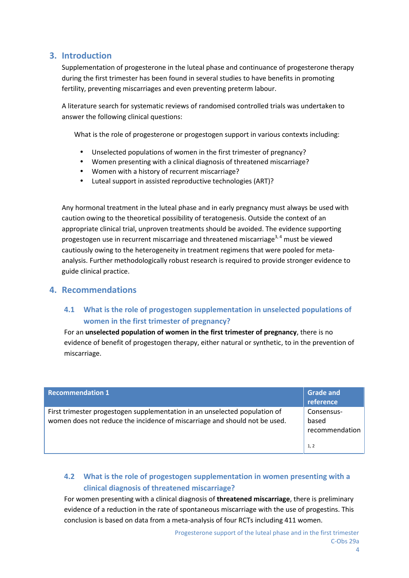#### **3. Introduction**

Supplementation of progesterone in the luteal phase and continuance of progesterone therapy during the first trimester has been found in several studies to have benefits in promoting fertility, preventing miscarriages and even preventing preterm labour.

A literature search for systematic reviews of randomised controlled trials was undertaken to answer the following clinical questions:

What is the role of progesterone or progestogen support in various contexts including:

- Unselected populations of women in the first trimester of pregnancy?
- Women presenting with a clinical diagnosis of threatened miscarriage?
- Women with a history of recurrent miscarriage?
- Luteal support in assisted reproductive technologies (ART)?

Any hormonal treatment in the luteal phase and in early pregnancy must always be used with caution owing to the theoretical possibility of teratogenesis. Outside the context of an appropriate clinical trial, unproven treatments should be avoided. The evidence supporting progestogen use in recurrent miscarriage and threatened miscarriage<sup>3,4</sup> must be viewed cautiously owing to the heterogeneity in treatment regimens that were pooled for meta analysis. Further methodologically robust research is required to provide stronger evidence to guide clinical practice.

#### **4. Recommendations**

#### **4.1 What is the role of progestogen supplementation in unselected populations of women in the first trimester of pregnancy?**

For an **unselected population of women in the first trimester of pregnancy**, there is no evidence of benefit of progestogen therapy, either natural or synthetic, to in the prevention of miscarriage.

| <b>Recommendation 1</b>                                                                                                                                  | <b>Grade and</b><br>reference         |
|----------------------------------------------------------------------------------------------------------------------------------------------------------|---------------------------------------|
| First trimester progestogen supplementation in an unselected population of<br>women does not reduce the incidence of miscarriage and should not be used. | Consensus-<br>based<br>recommendation |
|                                                                                                                                                          | 1, 2                                  |

#### **4.2 What is the role of progestogen supplementation in women presenting with a clinical diagnosis of threatened miscarriage?**

For women presenting with a clinical diagnosis of **threatened miscarriage**, there is preliminary evidence of a reduction in the rate of spontaneous miscarriage with the use of progestins. This conclusion is based on data from a meta-analysis of four RCTs including 411 women.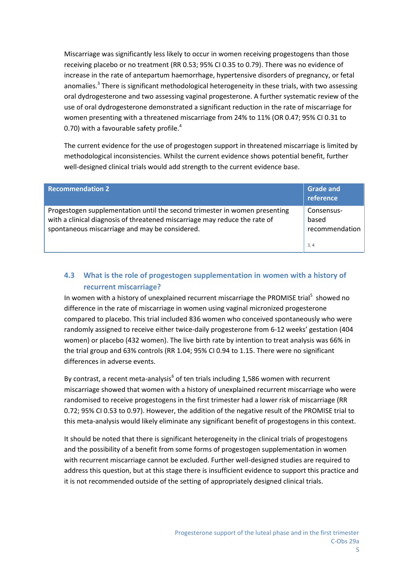Miscarriage was significantly less likely to occur in women receiving progestogens than those receiving placebo or no treatment (RR 0.53; 95% CI 0.35 to 0.79). There was no evidence of increase in the rate of antepartum haemorrhage, hypertensive disorders of pregnancy, or fetal anomalies.<sup>3</sup> There is significant methodological heterogeneity in these trials, with two assessing oral dydrogesterone and two assessing vaginal progesterone. A further systematic review of the use of oral dydrogesterone demonstrated a significant reduction in the rate of miscarriage for women presenting with a threatened miscarriage from 24% to 11% (OR 0.47; 95% CI 0.31 to 0.70) with a favourable safety profile.<sup>4</sup>

The current evidence for the use of progestogen support in threatened miscarriage is limited by methodological inconsistencies. Whilst the current evidence shows potential benefit, further well-designed clinical trials would add strength to the current evidence base.

| <b>Recommendation 2</b>                                                                                                                                                                                    | <b>Grade and</b><br>reference         |
|------------------------------------------------------------------------------------------------------------------------------------------------------------------------------------------------------------|---------------------------------------|
| Progestogen supplementation until the second trimester in women presenting<br>with a clinical diagnosis of threatened miscarriage may reduce the rate of<br>spontaneous miscarriage and may be considered. | Consensus-<br>based<br>recommendation |
|                                                                                                                                                                                                            | 3, 4                                  |

## **4.3 What is the role of progestogen supplementation in women with a history of recurrent miscarriage?**

In women with a history of unexplained recurrent miscarriage the PROMISE trial<sup>5</sup> showed no difference in the rate of miscarriage in women using vaginal micronized progesterone compared to placebo. This trial included 836 women who conceived spontaneously who were randomly assigned to receive either twice-daily progesterone from 6-12 weeks' gestation (404 women) or placebo (432 women). The live birth rate by intention to treat analysis was 66% in the trial group and 63% controls (RR 1.04; 95% CI 0.94 to 1.15. There were no significant differences in adverse events.

By contrast, a recent meta-analysis $<sup>6</sup>$  of ten trials including 1,586 women with recurrent</sup> miscarriage showed that women with a history of unexplained recurrent miscarriage who were randomised to receive progestogens in the first trimester had a lower risk of miscarriage (RR 0.72; 95% CI 0.53 to 0.97). However, the addition of the negative result of the PROMISE trial to this meta-analysis would likely eliminate any significant benefit of progestogens in this context.

It should be noted that there is significant heterogeneity in the clinical trials of progestogens and the possibility of a benefit from some forms of progestogen supplementation in women with recurrent miscarriage cannot be excluded. Further well-designed studies are required to address this question, but at this stage there is insufficient evidence to support this practice and it is not recommended outside of the setting of appropriately designed clinical trials.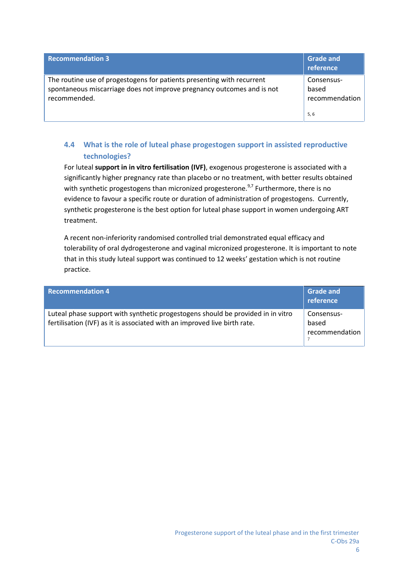| <b>Recommendation 3</b>                                                                                                                                          | <b>Grade and</b><br>reference         |
|------------------------------------------------------------------------------------------------------------------------------------------------------------------|---------------------------------------|
| The routine use of progestogens for patients presenting with recurrent<br>spontaneous miscarriage does not improve pregnancy outcomes and is not<br>recommended. | Consensus-<br>based<br>recommendation |
|                                                                                                                                                                  | 5, 6                                  |

## **4.4 What is the role of luteal phase progestogen support in assisted reproductive technologies?**

For luteal **support in in vitro fertilisation (IVF)**, exogenous progesterone is associated with a significantly higher pregnancy rate than placebo or no treatment, with better results obtained with synthetic progestogens than micronized progesterone.<sup>9,7</sup> Furthermore, there is no evidence to favour a specific route or duration of administration of progestogens. Currently, synthetic progesterone is the best option for luteal phase support in women undergoing ART treatment.

A recent non-inferiority randomised controlled trial demonstrated equal efficacy and tolerability of oral dydrogesterone and vaginal micronized progesterone. It is important to note that in this study luteal support was continued to 12 weeks' gestation which is not routine practice.

| <b>Recommendation 4</b>                                                                                                                                      | <b>Grade and</b><br>reference         |
|--------------------------------------------------------------------------------------------------------------------------------------------------------------|---------------------------------------|
| Luteal phase support with synthetic progestogens should be provided in in vitro<br>fertilisation (IVF) as it is associated with an improved live birth rate. | Consensus-<br>based<br>recommendation |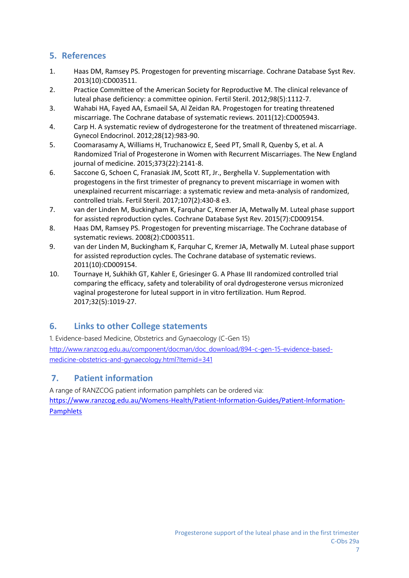## **5. References**

- 1. Haas DM, Ramsey PS. Progestogen for preventing miscarriage. Cochrane Database Syst Rev. 2013(10):CD003511.
- 2. Practice Committee of the American Society for Reproductive M. The clinical relevance of luteal phase deficiency: a committee opinion. Fertil Steril. 2012;98(5):1112-7.
- 3. Wahabi HA, Fayed AA, Esmaeil SA, Al Zeidan RA. Progestogen for treating threatened miscarriage. The Cochrane database of systematic reviews. 2011(12):CD005943.
- 4. Carp H. A systematic review of dydrogesterone for the treatment of threatened miscarriage. Gynecol Endocrinol. 2012;28(12):983-90.
- 5. Coomarasamy A, Williams H, Truchanowicz E, Seed PT, Small R, Quenby S, et al. A Randomized Trial of Progesterone in Women with Recurrent Miscarriages. The New England journal of medicine. 2015;373(22):2141-8.
- 6. Saccone G, Schoen C, Franasiak JM, Scott RT, Jr., Berghella V. Supplementation with progestogens in the first trimester of pregnancy to prevent miscarriage in women with unexplained recurrent miscarriage: a systematic review and meta-analysis of randomized, controlled trials. Fertil Steril. 2017;107(2):430-8 e3.
- 7. van der Linden M, Buckingham K, Farquhar C, Kremer JA, Metwally M. Luteal phase support for assisted reproduction cycles. Cochrane Database Syst Rev. 2015(7):CD009154.
- 8. Haas DM, Ramsey PS. Progestogen for preventing miscarriage. The Cochrane database of systematic reviews. 2008(2):CD003511.
- 9. van der Linden M, Buckingham K, Farquhar C, Kremer JA, Metwally M. Luteal phase support for assisted reproduction cycles. The Cochrane database of systematic reviews. 2011(10):CD009154.
- 10. Tournaye H, Sukhikh GT, Kahler E, Griesinger G. A Phase III randomized controlled trial comparing the efficacy, safety and tolerability of oral dydrogesterone versus micronized vaginal progesterone for luteal support in in vitro fertilization. Hum Reprod. 2017;32(5):1019-27.

## **6. Links to other College statements**

1. Evidence-based Medicine, Obstetrics and Gynaecology (C-Gen 15) http://www.ranzcog.edu.au/component/docman/doc\_download/894-c-gen-15-evidence-based medicine-obstetrics-and-gynaecology.html?Itemid=341

## **7. Patient information**

A range of RANZCOG patient information pamphlets can be ordered via: https://www.ranzcog.edu.au/Womens-Health/Patient-Information-Guides/Patient-Information- Pamphlets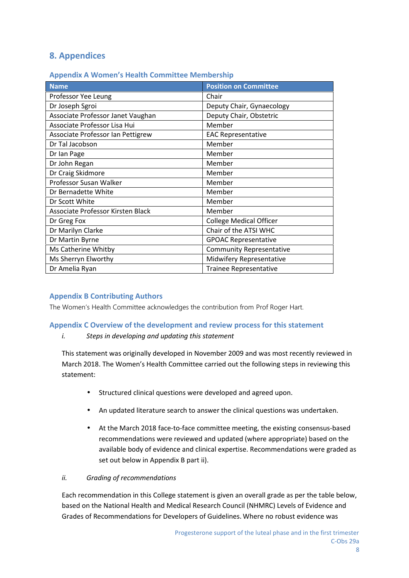## **8. Appendices**

#### **Appendix A Women's Health Committee Membership**

| <b>Name</b>                       | <b>Position on Committee</b>    |
|-----------------------------------|---------------------------------|
| Professor Yee Leung               | Chair                           |
| Dr Joseph Sgroi                   | Deputy Chair, Gynaecology       |
| Associate Professor Janet Vaughan | Deputy Chair, Obstetric         |
| Associate Professor Lisa Hui      | Member                          |
| Associate Professor Ian Pettigrew | <b>EAC Representative</b>       |
| Dr Tal Jacobson                   | Member                          |
| Dr Ian Page                       | Member                          |
| Dr John Regan                     | Member                          |
| Dr Craig Skidmore                 | Member                          |
| Professor Susan Walker            | Member                          |
| Dr Bernadette White               | Member                          |
| Dr Scott White                    | Member                          |
| Associate Professor Kirsten Black | Member                          |
| Dr Greg Fox                       | <b>College Medical Officer</b>  |
| Dr Marilyn Clarke                 | Chair of the ATSI WHC           |
| Dr Martin Byrne                   | <b>GPOAC Representative</b>     |
| Ms Catherine Whitby               | <b>Community Representative</b> |
| Ms Sherryn Elworthy               | Midwifery Representative        |
| Dr Amelia Ryan                    | <b>Trainee Representative</b>   |

#### **Appendix B Contributing Authors**

The Women's Health Committee acknowledges the contribution from Prof Roger Hart.

#### **Appendix C Overview of the development and review process for this statement**

*i. Steps in developing and updating this statement*

This statement was originally developed in November 2009 and was most recently reviewed in March 2018. The Women's Health Committee carried out the following steps in reviewing this statement:

- Structured clinical questions were developed and agreed upon.
- An updated literature search to answer the clinical questions was undertaken.
- At the March 2018 face-to-face committee meeting, the existing consensus-based recommendations were reviewed and updated (where appropriate) based on the available body of evidence and clinical expertise. Recommendations were graded as set out below in Appendix B part ii).

#### *ii. Grading of recommendations*

Each recommendation in this College statement is given an overall grade as per the table below, based on the National Health and Medical Research Council (NHMRC) Levels of Evidence and Grades of Recommendations for Developers of Guidelines. Where no robust evidence was